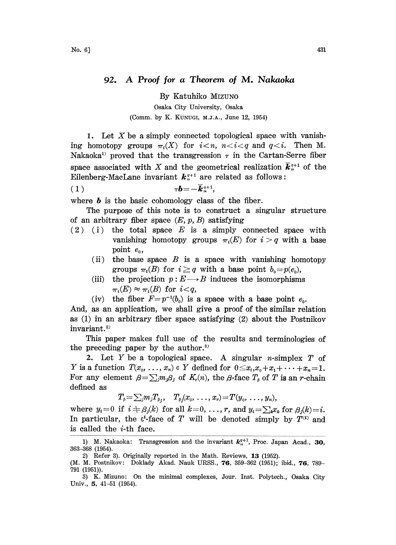## 92. A Proof for <sup>a</sup> Theorem of M. Nakaoka

By Katuhiko MIZUNO

Osaka City University, Osaka (Comm. by K. KUNUGI, M.J.A., June 12, 1954)

1. Let X be a simply connected topological space with vanishing homotopy groups  $\pi_i(X)$  for  $i < n$ ,  $n < i < q$  and  $q < i$ . Then M. Nakaoka<sup>1</sup> proved that the transgression  $\tau$  in the Cartan-Serre fiber space associated with X and the geometrical realization  $\vec{k}_{n}^{\gamma+1}$  of the Eilenberg-MacLane invariant  $k_{n+1}^{q+1}$  are related as follows:

$$
(1) \t\tau b = -\overline{k}_{n}^{q+1},
$$

where  $\boldsymbol{b}$  is the basic cohomology class of the fiber.

The purpose of this note is to construct a singular structure of an arbitrary fiber space  $(E, p, B)$  satisfying

- $(2)$  (i) the total space E is a simply connected space with vanishing homotopy groups  $\pi_i(E)$  for  $i > q$  with a base point  $e_0$ ,
	- (ii) the base space  $B$  is a space with vanishing homotopy groups  $\pi_i(B)$  for  $i \geq q$  with a base point  $b_0=p(e_0)$ ,
	- (iii) the projection  $p: E \longrightarrow B$  induces the isomorphisms  $\pi_i(E) \approx \pi_i(B)$  for  $i < q$ ,
	- (iv) the fiber  $F=p^{-1}(b_0)$  is a space with a base point  $e_0$ .

And, as an application, we shall give a proof of the similar relation as (1) in an arbitrary fiber space satisfying (2) about the Postnikov invariant.<sup>2)</sup>

This paper makes full use of the results and terminologies of the preceding paper by the author.<sup>3)</sup>

2. Let  $Y$  be a topological space. A singular n-simplex  $T$  of Y is a function  $T(x_0, \ldots, x_n) \in Y$  defined for  $0 \le x_i, x_0 + x_1 + \cdots + x_n = 1$ . For any element  $\beta = \sum_i m_i \beta_i$  of  $K_r(n)$ , the  $\beta$ -face  $T_\beta$  of T is an r-chain defined as

$$
T_{\beta} = \sum_{j} m_j T_{\beta_j}, \quad T_{\beta_j}(x_0, \ldots, x_r) = T(y_0, \ldots, y_n),
$$

where  $y_i=0$  if  $i \neq \beta_i(k)$  for all  $k=0, \ldots, r$ , and  $y_i=\sum_k x_k$  for  $\beta_i(k)=i$ . In particular, the  $\varepsilon^{\prime}$ -face of T will be denoted simply by  $T^{(i)}$  and is called the  $i$ -th face.

<sup>1)</sup> M. Nakaoka: Transgression and the invariant  $k_n^{q+1}$ , Proc. Japan Acad., 30, 363-368 (1954).

<sup>2)</sup> Refer 3). Originally reported in the Math. Reviews, 13 (1952).

<sup>(</sup>M. M. Postnikov: Doklady Akad. Nauk URSS., 76, 359-362 (1951); ibid., 76, 789- 791 (1951)).

<sup>3)</sup> K. Mizuno: On the minimal complexes, Jour. Inst. Polytech., Osaka City Univ., 5, 41-51 (1954).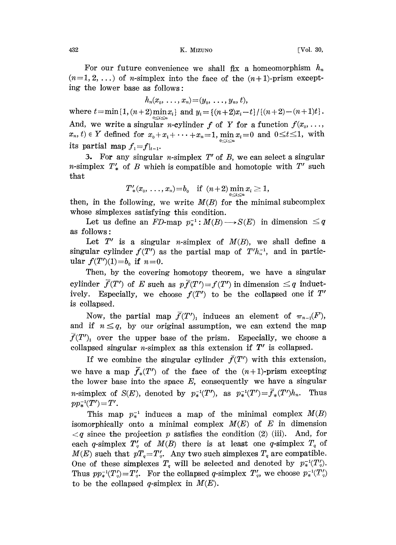432 K. MIZUNO [Vol. 30,

For our future convenience we shall fix a homeomorphism  $h_n$  $(n=1, 2, ...)$  of *n*-simplex into the face of the  $(n+1)$ -prism excepting the lower base as follows:

$$
h_n(x_0, \ldots, x_n) = (y_0, \ldots, y_n, t),
$$

where  $t = \min\{1, (n+2) \min_{0 \le i \le n} x_i\}$  and  $y_i = \{(n+2)x_i - t\}/\{(n+2)-(n+1)t\}.$ And, we write a singular *n*-cylinder f of Y for a function  $f(x_0, \ldots,$  $x_n, t \in Y$  defined for  $x_0 + x_1 + \cdots + x_n = 1$ , min  $x_i = 0$  and  $0 \le t \le 1$ , with its partial map  $f_1=f|_{t=1}$ .

3. For any singular *n*-simplex  $T'$  of  $B$ , we can select a singular n-simplex  $T'$  of B which is compatible and homotopic with  $T'$  such that

$$
T'_{*}(x_{0},...,x_{n})=b_{0} \quad \text{if} \ \ (n+2)\min_{0\leq i\leq n}x_{i}\geq 1,
$$

then, in the following, we write  $M(B)$  for the minimal subcomplex whose simplexes satisfying this condition.

Let us define an FD-map  $p_*^{-1}: M(B) \longrightarrow S(E)$  in dimension  $\leq q$ as follows:

Let  $T'$  is a singular *n*-simplex of  $M(B)$ , we shall define a singular cylinder  $f(T')$  as the partial map of  $T'h_n^{-1}$ , and in particular  $f(T')(1)=b_0$  if  $n=0$ .

Then, by the covering homotopy theorem, we have a singular cylinder  $\bar{f}(T')$  of E such as  $p\bar{f}(T')=f(T')$  in dimension  $\leq q$  inductively. Especially, we choose  $f(T')$  to be the collapsed one if  $T'$ is collapsed.

Now, the partial map  $\bar{f}(T')_1$  induces an element of  $\pi_{n-1}(F)$ , and if  $n \leq q$ , by our original assumption, we can extend the map  $\bar{f}(T')$  over the upper base of the prism. Especially, we choose a collapsed singular *n*-simplex as this extension if  $T'$  is collapsed.

If we combine the singular cylinder  $\bar{f}(T')$  with this extension, we have a map  $\bar{f}_*(T')$  of the face of the  $(n+1)$ -prism excepting the lower base into the space  $E$ , consequently we have a singular *n*-simplex of  $S(E)$ , denoted by  $p_*^{-1}(T')$ , as  $p_*^{-1}(T')=\bar{f}_*(T')h_n$ . Thus  $pp_*^{-1}(T') = T'.$ 

This map  $p_*^{-1}$  induces a map of the minimal complex  $M(B)$ isomorphically onto a minimal complex  $M(E)$  of E in dimension  $\langle q \rangle$  since the projection p satisfies the condition (2) (iii). And, for each q-simplex  $T'_{q}$  of  $M(B)$  there is at least one q-simplex  $T_{q}$  of  $M(E)$  such that  $pT_q = T'_q$ . Any two such simplexes  $T_q$  are compatible. One of these simplexes  $T_q$  will be selected and denoted by  $p_*^{-1}(T_q')$ . Thus  $pp_*^{-1}(T'_q)=T'_q$ . For the collapsed q-simplex  $T'_q$ , we choose  $p_*^{-1}(T'_q)$ to be the collapsed q-simplex in  $M(E)$ .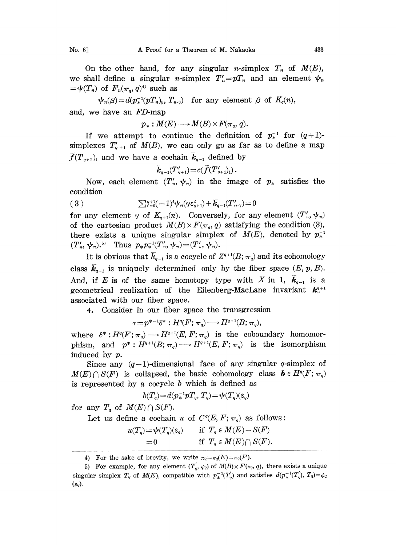On the other hand, for any singular *n*-simplex  $T_n$  of  $M(E)$ , we shall define a singular *n*-simplex  $T'_n = pT_n$  and an element  $\psi_n$  $=\psi(T_n)$  of  $F_n(\pi_q, q)^4$  such as

 $\psi_n(\beta) = d(p^{-1}_*(pT_n)_s, T_{n,s})$  for any element  $\beta$  of  $K_q(n)$ ,

and, we have an FD-map

$$
p_*: M(E) \longrightarrow M(B) \times F(\pi_q, q).
$$

If we attempt to continue the definition of  $p_*^{-1}$  for  $(q+1)$ simplexes  $T'_{q+1}$  of  $M(B)$ , we can only go as far as to define a map  $\overline{f}(T_{q+1})$  and we have a cochain  $\overline{k}_{q-1}$  defined by

$$
\overline{k}_{q-1}(T'_{q+1}) = c(\overline{f}(T'_{q+1})_1).
$$

Now, each element  $(T'_n, \psi_n)$  in the image of  $p_*$  satisfies the condition

$$
(3) \qquad \qquad \sum_{i=0}^{q+1} (-1)^i \psi_n(\gamma \varepsilon_{q+1}^i) + \overline{k}_{q-1}(T_{n \cdot \gamma}^{\prime}) = 0
$$

for any element  $\gamma$  of  $K_{q+1}(n)$ . Conversely, for any element  $(T', \psi_n)$ of the cartesian product  $M(B) \times F(\pi_q, q)$  satisfying the condition (3), there exists a unique singular simplex of  $M(E)$ , denoted by  $p_*^{-1}$  $(T'_n, \psi_n)$ .<sup>5)</sup> Thus  $p_* p_*^{-1}(T'_n, \psi_n) = (T'_n, \psi_n)$ .

It is obvious that  $\overline{k}_{q-1}$  is a cocycle of  $Z^{q+1}(B; \pi_q)$  and its cohomology class  $k_{q-1}$  is uniquely determined only by the fiber space  $(E, p, B)$ . And, if E is of the same homotopy type with X in 1,  $k_{q-1}$  is a geometrical realization of the Eilenberg-MacLane invariant  $k_{n}^{q+1}$ associated with our fiber space.

4. Consider in our fiber space the transgression

 $\tau=p^{*-1}\delta^*:H^q(F;\pi_q)\longrightarrow H^{q+1}(B;\pi_q),$ 

where  $\delta^*: H^q(F; \pi_q) \longrightarrow H^{q+1}(E, F; \pi_q)$  is the coboundary homomorphism, and  $p^*: H^{q+1}(B; \pi_q) \longrightarrow H^{q+1}(E, F; \pi_q)$  is the isomorphism induced by p.

Since any  $(q-1)$ -dimensional face of any singular q-simplex of  $M(E) \cap S(F)$  is collapsed, the basic cohomology class  $\mathbf{b} \in H^q(F; \pi_q)$ is represented by a cocycle b which is defined as

$$
b(T_q) = d(p_*^{-1}pT_q, T_q) = \psi(T_q)(\varepsilon_q)
$$

for any  $T_q$  of  $M(E) \cap S(F)$ .

Let us define a cochain u of  $C<sup>q</sup>(E, F; \pi_q)$  as follows:

$$
u(T_q) = \psi(T_q)(\epsilon_q) \quad \text{if } T_q \in M(E) - S(F) = 0 \quad \text{if } T_q \in M(E) \cap S(F).
$$

4) For the sake of brevity, we write  $\pi_q = \pi_q(E) = \pi_q(F)$ .

<sup>5)</sup> For example, for any element  $(T'_q, \psi_q)$  of  $M(B) \times F(\pi_q, q)$ , there exists a unique singular simplex  $T_q$  of  $M(E)$ , compatible with  $p_*^{-1}(T'_q)$  and satisfies  $d(p_*^{-1}(T'_q), T_q)=\phi_q$  $(\varepsilon_q)$ .